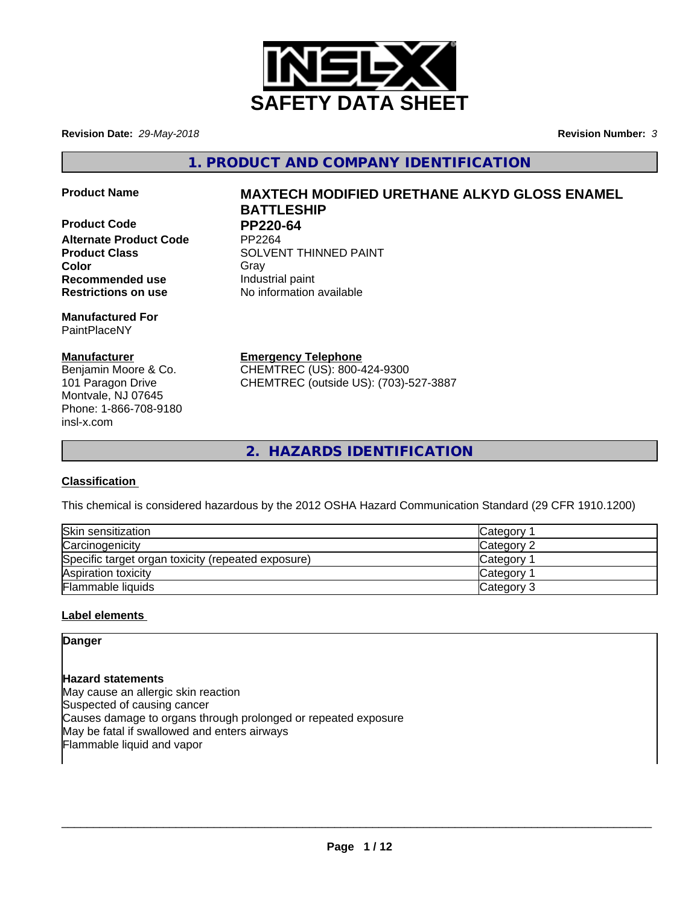

**Revision Date:** *29-May-2018* **Revision Number:** *3*

**1. PRODUCT AND COMPANY IDENTIFICATION**

**Product Code PP220-64 Alternate Product Code Recommended use Industrial paint** 

**Manufactured For** PaintPlaceNY

# **Manufacturer**

Benjamin Moore & Co. 101 Paragon Drive Montvale, NJ 07645 Phone: 1-866-708-9180 insl-x.com

# **Product Name MAXTECH MODIFIED URETHANE ALKYD GLOSS ENAMEL BATTLESHIP**

**Product Class SOLVENT THINNED PAINT Color** Gray Gray **Restrictions on use** No information available

**Emergency Telephone**

CHEMTREC (US): 800-424-9300 CHEMTREC (outside US): (703)-527-3887

**2. HAZARDS IDENTIFICATION**

# **Classification**

This chemical is considered hazardous by the 2012 OSHA Hazard Communication Standard (29 CFR 1910.1200)

| Skin sensitization                                 | Category        |
|----------------------------------------------------|-----------------|
| Carcinogenicity                                    | Category 2      |
| Specific target organ toxicity (repeated exposure) | <b>Category</b> |
| Aspiration toxicity                                | <b>Category</b> |
| Flammable liquids                                  | Category 3      |

# **Label elements**

**Danger**

**Hazard statements** May cause an allergic skin reaction Suspected of causing cancer Causes damage to organs through prolonged or repeated exposure May be fatal if swallowed and enters airways Flammable liquid and vapor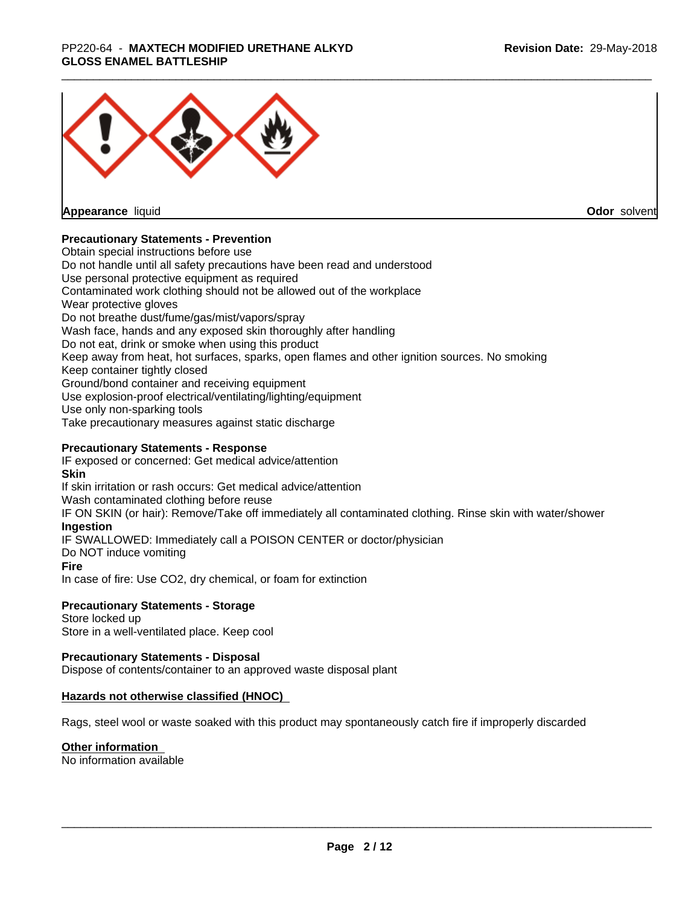#### \_\_\_\_\_\_\_\_\_\_\_\_\_\_\_\_\_\_\_\_\_\_\_\_\_\_\_\_\_\_\_\_\_\_\_\_\_\_\_\_\_\_\_\_\_\_\_\_\_\_\_\_\_\_\_\_\_\_\_\_\_\_\_\_\_\_\_\_\_\_\_\_\_\_\_\_\_\_\_\_\_\_\_\_\_\_\_\_\_\_\_\_\_ PP220-64 - **MAXTECH MODIFIED URETHANE ALKYD GLOSS ENAMEL BATTLESHIP**



**Appearance** liquid

**Odor** solvent

## **Precautionary Statements - Prevention**

Obtain special instructions before use Do not handle until all safety precautions have been read and understood Use personal protective equipment as required Contaminated work clothing should not be allowed out of the workplace Wear protective gloves Do not breathe dust/fume/gas/mist/vapors/spray Wash face, hands and any exposed skin thoroughly after handling Do not eat, drink or smoke when using this product Keep away from heat, hot surfaces, sparks, open flames and other ignition sources. No smoking Keep container tightly closed Ground/bond container and receiving equipment Use explosion-proof electrical/ventilating/lighting/equipment Use only non-sparking tools Take precautionary measures against static discharge

## **Precautionary Statements - Response**

IF exposed or concerned: Get medical advice/attention **Skin** If skin irritation or rash occurs: Get medical advice/attention Wash contaminated clothing before reuse IF ON SKIN (or hair): Remove/Take off immediately all contaminated clothing. Rinse skin with water/shower **Ingestion** IF SWALLOWED: Immediately call a POISON CENTER or doctor/physician Do NOT induce vomiting **Fire** In case of fire: Use CO2, dry chemical, or foam for extinction

## **Precautionary Statements - Storage**

Store locked up Store in a well-ventilated place. Keep cool

## **Precautionary Statements - Disposal**

Dispose of contents/container to an approved waste disposal plant

## **Hazards not otherwise classified (HNOC)**

Rags, steel wool or waste soaked with this product may spontaneously catch fire if improperly discarded

#### **Other information**

No information available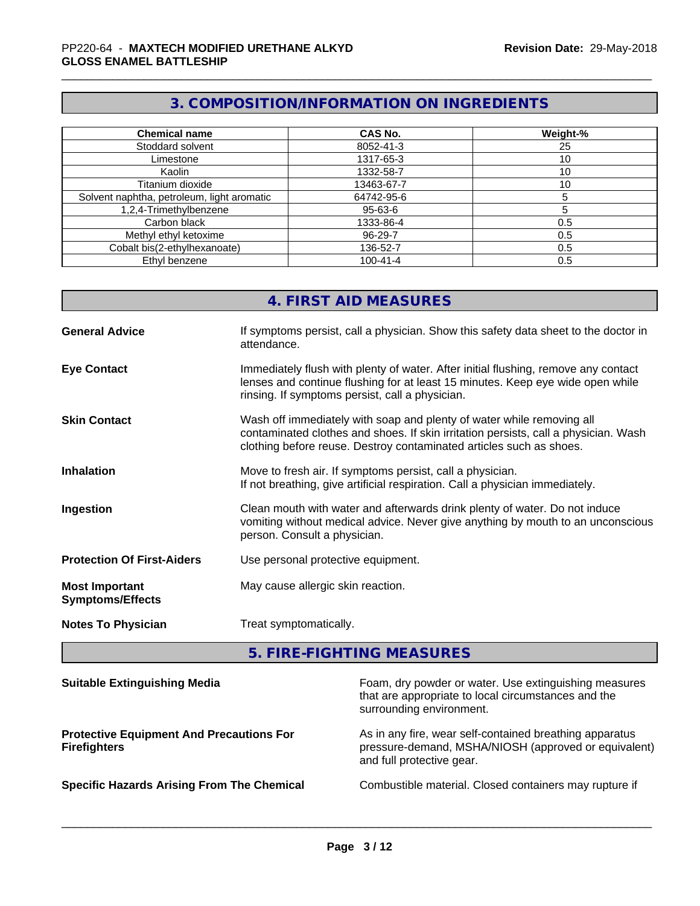# **3. COMPOSITION/INFORMATION ON INGREDIENTS**

| <b>Chemical name</b>                       | <b>CAS No.</b> | Weight-% |
|--------------------------------------------|----------------|----------|
| Stoddard solvent                           | 8052-41-3      | 25       |
| Limestone                                  | 1317-65-3      | 10       |
| Kaolin                                     | 1332-58-7      | 10       |
| Titanium dioxide                           | 13463-67-7     | 10       |
| Solvent naphtha, petroleum, light aromatic | 64742-95-6     |          |
| 1,2,4-Trimethylbenzene                     | 95-63-6        |          |
| Carbon black                               | 1333-86-4      | 0.5      |
| Methyl ethyl ketoxime                      | 96-29-7        | 0.5      |
| Cobalt bis(2-ethylhexanoate)               | 136-52-7       | 0.5      |
| Ethyl benzene                              | $100 - 41 - 4$ | 0.5      |

|                                                  | 4. FIRST AID MEASURES                                                                                                                                                                                                               |
|--------------------------------------------------|-------------------------------------------------------------------------------------------------------------------------------------------------------------------------------------------------------------------------------------|
| <b>General Advice</b>                            | If symptoms persist, call a physician. Show this safety data sheet to the doctor in<br>attendance.                                                                                                                                  |
| <b>Eye Contact</b>                               | Immediately flush with plenty of water. After initial flushing, remove any contact<br>lenses and continue flushing for at least 15 minutes. Keep eye wide open while<br>rinsing. If symptoms persist, call a physician.             |
| <b>Skin Contact</b>                              | Wash off immediately with soap and plenty of water while removing all<br>contaminated clothes and shoes. If skin irritation persists, call a physician. Wash<br>clothing before reuse. Destroy contaminated articles such as shoes. |
| <b>Inhalation</b>                                | Move to fresh air. If symptoms persist, call a physician.<br>If not breathing, give artificial respiration. Call a physician immediately.                                                                                           |
| Ingestion                                        | Clean mouth with water and afterwards drink plenty of water. Do not induce<br>vomiting without medical advice. Never give anything by mouth to an unconscious<br>person. Consult a physician.                                       |
| <b>Protection Of First-Aiders</b>                | Use personal protective equipment.                                                                                                                                                                                                  |
| <b>Most Important</b><br><b>Symptoms/Effects</b> | May cause allergic skin reaction.                                                                                                                                                                                                   |
| <b>Notes To Physician</b>                        | Treat symptomatically.                                                                                                                                                                                                              |
|                                                  |                                                                                                                                                                                                                                     |

**5. FIRE-FIGHTING MEASURES**

| <b>Suitable Extinguishing Media</b>                                    | Foam, dry powder or water. Use extinguishing measures<br>that are appropriate to local circumstances and the<br>surrounding environment.     |
|------------------------------------------------------------------------|----------------------------------------------------------------------------------------------------------------------------------------------|
| <b>Protective Equipment And Precautions For</b><br><b>Firefighters</b> | As in any fire, wear self-contained breathing apparatus<br>pressure-demand, MSHA/NIOSH (approved or equivalent)<br>and full protective gear. |
| <b>Specific Hazards Arising From The Chemical</b>                      | Combustible material. Closed containers may rupture if                                                                                       |
|                                                                        |                                                                                                                                              |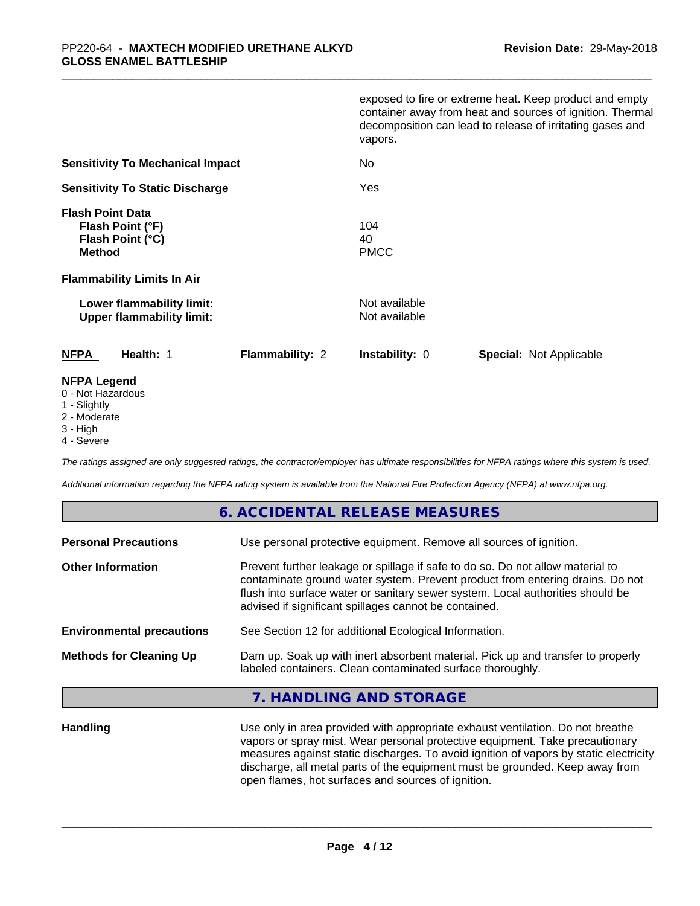|                                                                                                                       | exposed to fire or extreme heat. Keep product and empty<br>container away from heat and sources of ignition. Thermal<br>decomposition can lead to release of irritating gases and<br>vapors. |
|-----------------------------------------------------------------------------------------------------------------------|----------------------------------------------------------------------------------------------------------------------------------------------------------------------------------------------|
| <b>Sensitivity To Mechanical Impact</b>                                                                               | No                                                                                                                                                                                           |
| <b>Sensitivity To Static Discharge</b>                                                                                | Yes                                                                                                                                                                                          |
| <b>Flash Point Data</b><br>Flash Point (°F)<br>Flash Point (°C)<br><b>Method</b><br><b>Flammability Limits In Air</b> | 104<br>40<br><b>PMCC</b>                                                                                                                                                                     |
| Lower flammability limit:<br><b>Upper flammability limit:</b>                                                         | Not available<br>Not available                                                                                                                                                               |
| <b>NFPA</b><br>Health: 1<br><b>Flammability: 2</b>                                                                    | <b>Instability: 0</b><br><b>Special: Not Applicable</b>                                                                                                                                      |
| <b>NFPA Legend</b>                                                                                                    |                                                                                                                                                                                              |

#### 0 - Not Hazardous

- 1 Slightly
- 2 Moderate
- 3 High
- 4 Severe

*The ratings assigned are only suggested ratings, the contractor/employer has ultimate responsibilities for NFPA ratings where this system is used.*

*Additional information regarding the NFPA rating system is available from the National Fire Protection Agency (NFPA) at www.nfpa.org.*

# **6. ACCIDENTAL RELEASE MEASURES**

| Use personal protective equipment. Remove all sources of ignition.                                                                                                                                                                                                                                         |  |
|------------------------------------------------------------------------------------------------------------------------------------------------------------------------------------------------------------------------------------------------------------------------------------------------------------|--|
| Prevent further leakage or spillage if safe to do so. Do not allow material to<br>contaminate ground water system. Prevent product from entering drains. Do not<br>flush into surface water or sanitary sewer system. Local authorities should be<br>advised if significant spillages cannot be contained. |  |
| See Section 12 for additional Ecological Information.                                                                                                                                                                                                                                                      |  |
| Dam up. Soak up with inert absorbent material. Pick up and transfer to properly<br>labeled containers. Clean contaminated surface thoroughly.                                                                                                                                                              |  |
|                                                                                                                                                                                                                                                                                                            |  |

## **7. HANDLING AND STORAGE**

**Handling** Use only in area provided with appropriate exhaust ventilation. Do not breathe vapors or spray mist. Wear personal protective equipment. Take precautionary measures against static discharges. To avoid ignition of vapors by static electricity discharge, all metal parts of the equipment must be grounded. Keep away from open flames, hot surfaces and sources of ignition.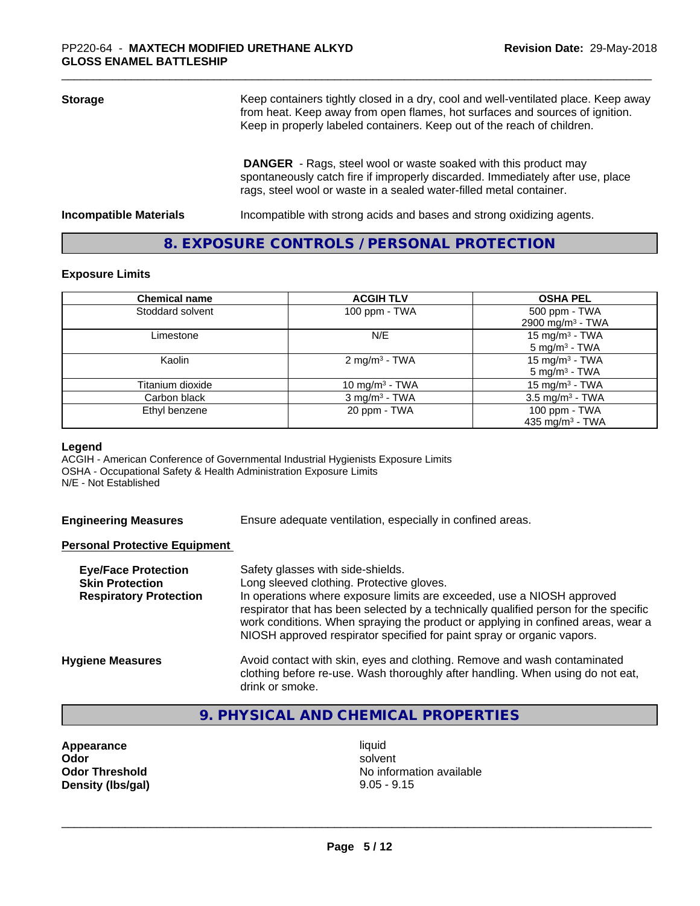| <b>Storage</b>                | Keep containers tightly closed in a dry, cool and well-ventilated place. Keep away<br>from heat. Keep away from open flames, hot surfaces and sources of ignition.<br>Keep in properly labeled containers. Keep out of the reach of children. |  |
|-------------------------------|-----------------------------------------------------------------------------------------------------------------------------------------------------------------------------------------------------------------------------------------------|--|
|                               | <b>DANGER</b> - Rags, steel wool or waste soaked with this product may<br>spontaneously catch fire if improperly discarded. Immediately after use, place<br>rags, steel wool or waste in a sealed water-filled metal container.               |  |
| <b>Incompatible Materials</b> | Incompatible with strong acids and bases and strong oxidizing agents.                                                                                                                                                                         |  |

# **8. EXPOSURE CONTROLS / PERSONAL PROTECTION**

#### **Exposure Limits**

| <b>Chemical name</b> | <b>ACGIH TLV</b>            | <b>OSHA PEL</b>                                        |
|----------------------|-----------------------------|--------------------------------------------------------|
| Stoddard solvent     | 100 ppm - TWA               | 500 ppm - TWA<br>2900 mg/m <sup>3</sup> - TWA          |
| Limestone            | N/E                         | 15 mg/m <sup>3</sup> - TWA<br>$5 \text{ mg/m}^3$ - TWA |
| Kaolin               | 2 mg/m <sup>3</sup> - TWA   | 15 mg/m $3$ - TWA<br>$5 \text{ mg/m}^3$ - TWA          |
| Titanium dioxide     | 10 mg/m <sup>3</sup> - TWA  | 15 mg/m $3$ - TWA                                      |
| Carbon black         | $3$ mg/m <sup>3</sup> - TWA | $3.5 \text{ mg/m}^3$ - TWA                             |
| Ethyl benzene        | 20 ppm - TWA                | 100 ppm - TWA<br>435 mg/m <sup>3</sup> - TWA           |

#### **Legend**

ACGIH - American Conference of Governmental Industrial Hygienists Exposure Limits OSHA - Occupational Safety & Health Administration Exposure Limits N/E - Not Established

**Engineering Measures** Ensure adequate ventilation, especially in confined areas.

#### **Personal Protective Equipment**

| <b>Eye/Face Protection</b><br><b>Skin Protection</b><br><b>Respiratory Protection</b> | Safety glasses with side-shields.<br>Long sleeved clothing. Protective gloves.<br>In operations where exposure limits are exceeded, use a NIOSH approved<br>respirator that has been selected by a technically qualified person for the specific<br>work conditions. When spraying the product or applying in confined areas, wear a<br>NIOSH approved respirator specified for paint spray or organic vapors. |
|---------------------------------------------------------------------------------------|----------------------------------------------------------------------------------------------------------------------------------------------------------------------------------------------------------------------------------------------------------------------------------------------------------------------------------------------------------------------------------------------------------------|
| <b>Hygiene Measures</b>                                                               | Avoid contact with skin, eyes and clothing. Remove and wash contaminated<br>clothing before re-use. Wash thoroughly after handling. When using do not eat,<br>drink or smoke.                                                                                                                                                                                                                                  |

# **9. PHYSICAL AND CHEMICAL PROPERTIES**

Appearance liquid **Density (Ibs/gal)** 9.05 - 9.15

**Odor** solvent **Odor Threshold** No information available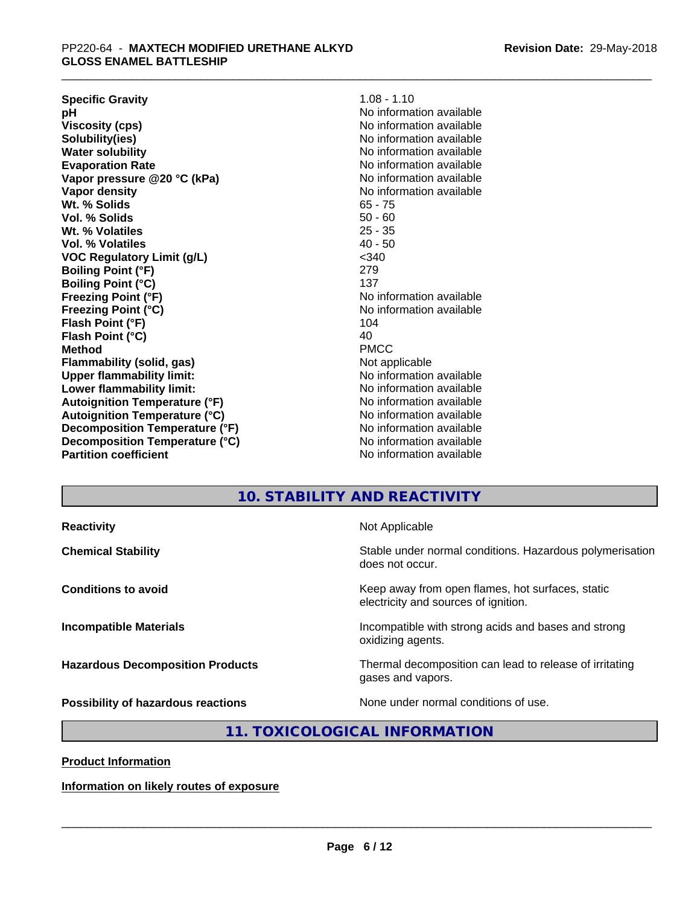**Revision Date:** 29-May-2018

| $1.08 - 1.10$            |
|--------------------------|
| No information available |
| No information available |
| No information available |
| No information available |
| No information available |
| No information available |
| No information available |
| $65 - 75$                |
| $50 - 60$                |
| $25 - 35$                |
| $40 - 50$                |
| $<$ 340                  |
| 279                      |
| 137                      |
| No information available |
| No information available |
| 104                      |
| 40                       |
| <b>PMCC</b>              |
| Not applicable           |
| No information available |
| No information available |
| No information available |
| No information available |
| No information available |
| No information available |
| No information available |
|                          |

# **10. STABILITY AND REACTIVITY**

**Reactivity Not Applicable** 

**Chemical Stability Stability** Stable under normal conditions. Hazardous polymerisation does not occur.

**Conditions to avoid Conditions to avoid Keep** away from open flames, hot surfaces, static electricity and sources of ignition.

**Incompatible Materials Incompatible with strong acids and bases and strong** oxidizing agents.

**Hazardous Decomposition Products** Thermal decomposition can lead to release of irritating gases and vapors.

**Possibility of hazardous reactions** None under normal conditions of use.

 $\overline{\phantom{a}}$  ,  $\overline{\phantom{a}}$  ,  $\overline{\phantom{a}}$  ,  $\overline{\phantom{a}}$  ,  $\overline{\phantom{a}}$  ,  $\overline{\phantom{a}}$  ,  $\overline{\phantom{a}}$  ,  $\overline{\phantom{a}}$  ,  $\overline{\phantom{a}}$  ,  $\overline{\phantom{a}}$  ,  $\overline{\phantom{a}}$  ,  $\overline{\phantom{a}}$  ,  $\overline{\phantom{a}}$  ,  $\overline{\phantom{a}}$  ,  $\overline{\phantom{a}}$  ,  $\overline{\phantom{a}}$ 

# **11. TOXICOLOGICAL INFORMATION**

**Product Information**

**Information on likely routes of exposure**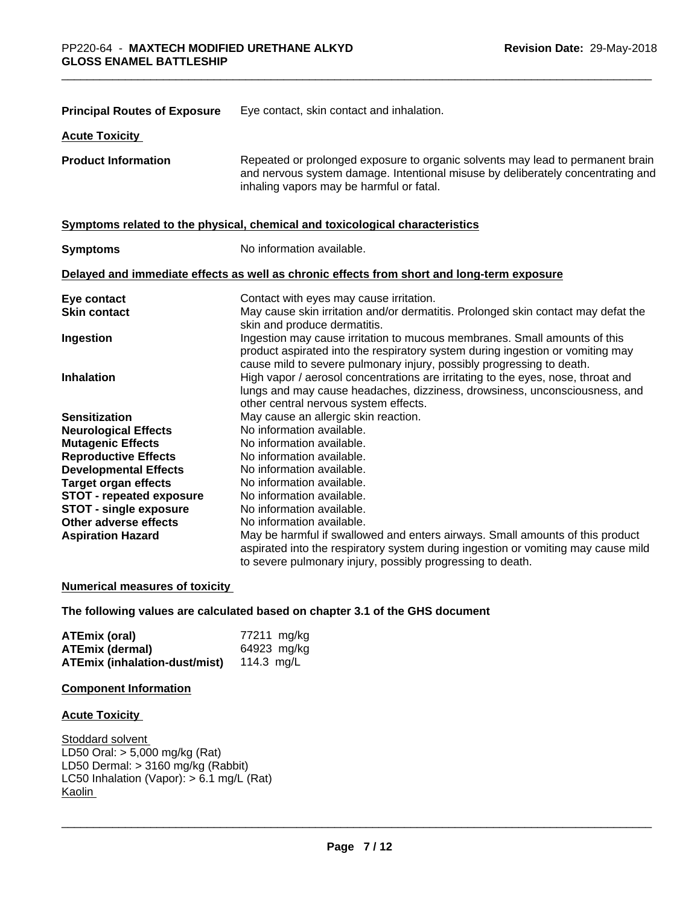| <b>Principal Routes of Exposure</b> | Eye contact, skin contact and inhalation.                                                                                                                                                                                            |  |
|-------------------------------------|--------------------------------------------------------------------------------------------------------------------------------------------------------------------------------------------------------------------------------------|--|
| <b>Acute Toxicity</b>               |                                                                                                                                                                                                                                      |  |
| <b>Product Information</b>          | Repeated or prolonged exposure to organic solvents may lead to permanent brain<br>and nervous system damage. Intentional misuse by deliberately concentrating and<br>inhaling vapors may be harmful or fatal.                        |  |
|                                     | Symptoms related to the physical, chemical and toxicological characteristics                                                                                                                                                         |  |
| <b>Symptoms</b>                     | No information available.                                                                                                                                                                                                            |  |
|                                     | Delayed and immediate effects as well as chronic effects from short and long-term exposure                                                                                                                                           |  |
| Eye contact                         | Contact with eyes may cause irritation.                                                                                                                                                                                              |  |
| <b>Skin contact</b>                 | May cause skin irritation and/or dermatitis. Prolonged skin contact may defat the<br>skin and produce dermatitis.                                                                                                                    |  |
| Ingestion                           | Ingestion may cause irritation to mucous membranes. Small amounts of this<br>product aspirated into the respiratory system during ingestion or vomiting may<br>cause mild to severe pulmonary injury, possibly progressing to death. |  |
| <b>Inhalation</b>                   | High vapor / aerosol concentrations are irritating to the eyes, nose, throat and<br>lungs and may cause headaches, dizziness, drowsiness, unconsciousness, and<br>other central nervous system effects.                              |  |
| <b>Sensitization</b>                | May cause an allergic skin reaction.                                                                                                                                                                                                 |  |
| <b>Neurological Effects</b>         | No information available.                                                                                                                                                                                                            |  |
| <b>Mutagenic Effects</b>            | No information available.                                                                                                                                                                                                            |  |
| <b>Reproductive Effects</b>         | No information available.                                                                                                                                                                                                            |  |
| <b>Developmental Effects</b>        | No information available.                                                                                                                                                                                                            |  |
| <b>Target organ effects</b>         | No information available.                                                                                                                                                                                                            |  |
| STOT - repeated exposure            | No information available.                                                                                                                                                                                                            |  |
| <b>STOT - single exposure</b>       | No information available.                                                                                                                                                                                                            |  |
| Other adverse effects               | No information available.                                                                                                                                                                                                            |  |
| <b>Aspiration Hazard</b>            | May be harmful if swallowed and enters airways. Small amounts of this product<br>aspirated into the respiratory system during ingestion or vomiting may cause mild<br>to severe pulmonary injury, possibly progressing to death.     |  |

## **Numerical measures of toxicity**

**The following values are calculated based on chapter 3.1 of the GHS document**

| <b>ATEmix (oral)</b>          | 77211 mg/kg |
|-------------------------------|-------------|
| <b>ATEmix (dermal)</b>        | 64923 mg/kg |
| ATEmix (inhalation-dust/mist) | 114.3 ma/L  |

# **Component Information**

## **Acute Toxicity**

Stoddard solvent LD50 Oral: > 5,000 mg/kg (Rat) LD50 Dermal: > 3160 mg/kg (Rabbit) LC50 Inhalation (Vapor):  $> 6.1$  mg/L (Rat) **Kaolin**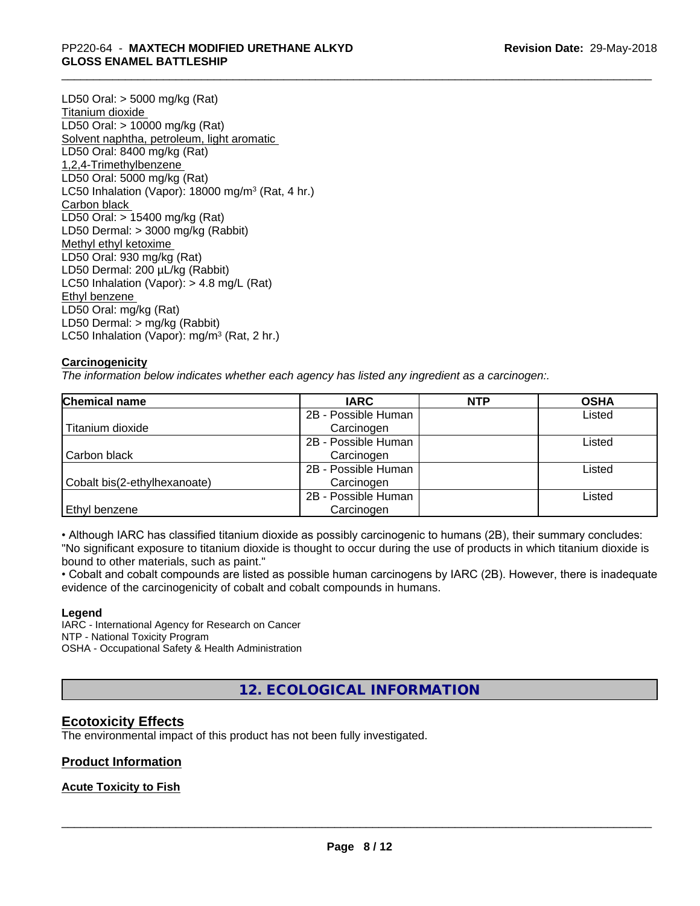#### \_\_\_\_\_\_\_\_\_\_\_\_\_\_\_\_\_\_\_\_\_\_\_\_\_\_\_\_\_\_\_\_\_\_\_\_\_\_\_\_\_\_\_\_\_\_\_\_\_\_\_\_\_\_\_\_\_\_\_\_\_\_\_\_\_\_\_\_\_\_\_\_\_\_\_\_\_\_\_\_\_\_\_\_\_\_\_\_\_\_\_\_\_ PP220-64 - **MAXTECH MODIFIED URETHANE ALKYD GLOSS ENAMEL BATTLESHIP**

LD50 Oral: > 5000 mg/kg (Rat) Titanium dioxide LD50 Oral: > 10000 mg/kg (Rat) Solvent naphtha, petroleum, light aromatic LD50 Oral: 8400 mg/kg (Rat) 1,2,4-Trimethylbenzene LD50 Oral: 5000 mg/kg (Rat) LC50 Inhalation (Vapor): 18000 mg/m<sup>3</sup> (Rat, 4 hr.) Carbon black LD50 Oral: > 15400 mg/kg (Rat) LD50 Dermal: > 3000 mg/kg (Rabbit) Methyl ethyl ketoxime LD50 Oral: 930 mg/kg (Rat) LD50 Dermal: 200 µL/kg (Rabbit) LC50 Inhalation (Vapor): > 4.8 mg/L (Rat) Ethyl benzene LD50 Oral: mg/kg (Rat) LD50 Dermal: > mg/kg (Rabbit) LC50 Inhalation (Vapor): mg/m<sup>3</sup> (Rat, 2 hr.)

## **Carcinogenicity**

*The information below indicateswhether each agency has listed any ingredient as a carcinogen:.*

| <b>Chemical name</b>         | <b>IARC</b>         | <b>NTP</b> | <b>OSHA</b> |
|------------------------------|---------------------|------------|-------------|
|                              | 2B - Possible Human |            | Listed      |
| Titanium dioxide             | Carcinogen          |            |             |
|                              | 2B - Possible Human |            | Listed      |
| Carbon black                 | Carcinogen          |            |             |
|                              | 2B - Possible Human |            | Listed      |
| Cobalt bis(2-ethylhexanoate) | Carcinogen          |            |             |
|                              | 2B - Possible Human |            | Listed      |
| Ethyl benzene                | Carcinogen          |            |             |

• Although IARC has classified titanium dioxide as possibly carcinogenic to humans (2B), their summary concludes: "No significant exposure to titanium dioxide is thought to occur during the use of products in which titanium dioxide is bound to other materials, such as paint."

• Cobalt and cobalt compounds are listed as possible human carcinogens by IARC (2B). However, there is inadequate evidence of the carcinogenicity of cobalt and cobalt compounds in humans.

#### **Legend**

IARC - International Agency for Research on Cancer NTP - National Toxicity Program OSHA - Occupational Safety & Health Administration

**12. ECOLOGICAL INFORMATION**

# **Ecotoxicity Effects**

The environmental impact of this product has not been fully investigated.

## **Product Information**

## **Acute Toxicity to Fish**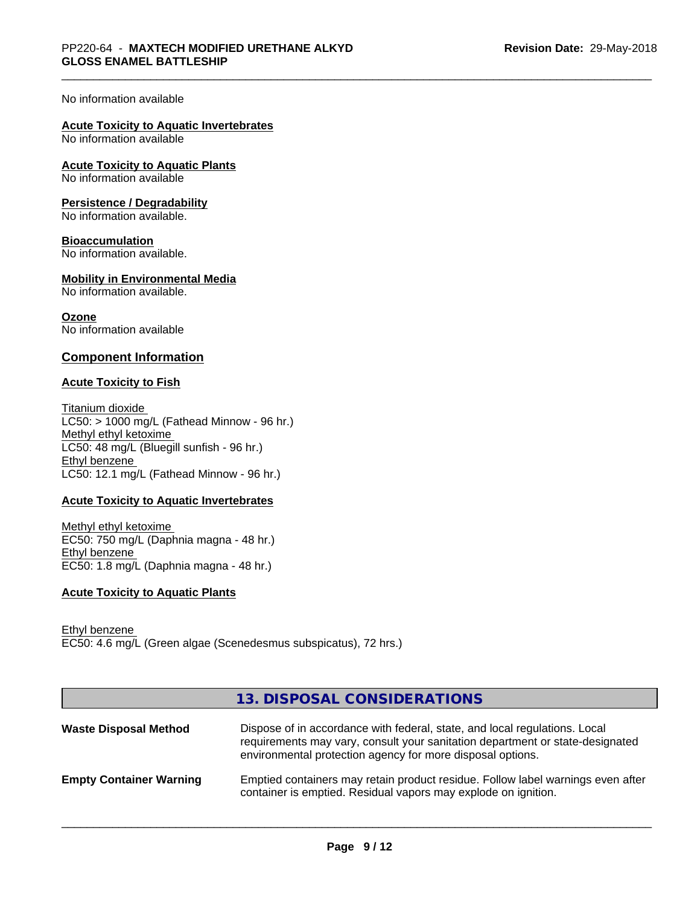#### No information available

# **Acute Toxicity to Aquatic Invertebrates**

No information available

# **Acute Toxicity to Aquatic Plants**

No information available

#### **Persistence / Degradability**

No information available.

#### **Bioaccumulation**

No information available.

#### **Mobility in Environmental Media**

No information available.

# **Ozone**

No information available

#### **Component Information**

#### **Acute Toxicity to Fish**

Titanium dioxide  $LC50:$  > 1000 mg/L (Fathead Minnow - 96 hr.) Methyl ethyl ketoxime LC50: 48 mg/L (Bluegill sunfish - 96 hr.) Ethyl benzene LC50: 12.1 mg/L (Fathead Minnow - 96 hr.)

#### **Acute Toxicity to Aquatic Invertebrates**

Methyl ethyl ketoxime EC50: 750 mg/L (Daphnia magna - 48 hr.) Ethyl benzene EC50: 1.8 mg/L (Daphnia magna - 48 hr.)

#### **Acute Toxicity to Aquatic Plants**

Ethyl benzene EC50: 4.6 mg/L (Green algae (Scenedesmus subspicatus), 72 hrs.)

|                                | 13. DISPOSAL CONSIDERATIONS                                                                                                                                                                                               |
|--------------------------------|---------------------------------------------------------------------------------------------------------------------------------------------------------------------------------------------------------------------------|
| <b>Waste Disposal Method</b>   | Dispose of in accordance with federal, state, and local regulations. Local<br>requirements may vary, consult your sanitation department or state-designated<br>environmental protection agency for more disposal options. |
| <b>Empty Container Warning</b> | Emptied containers may retain product residue. Follow label warnings even after<br>container is emptied. Residual vapors may explode on ignition.                                                                         |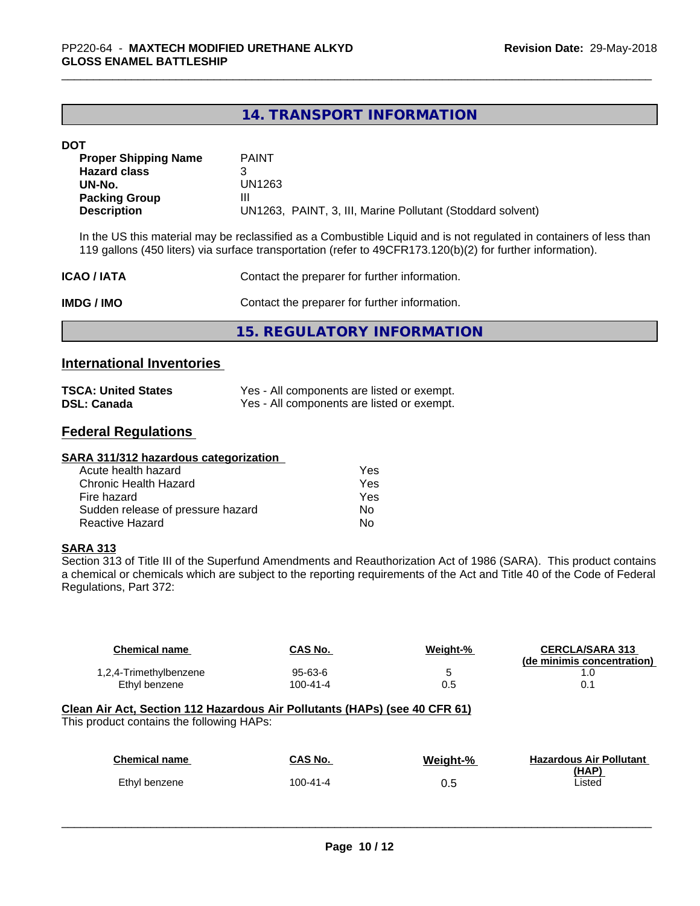# **14. TRANSPORT INFORMATION**

#### **DOT**

| <b>Proper Shipping Name</b> | <b>PAINT</b>                                               |
|-----------------------------|------------------------------------------------------------|
| <b>Hazard class</b>         |                                                            |
| UN-No.                      | UN1263                                                     |
| <b>Packing Group</b>        | Ш                                                          |
| <b>Description</b>          | UN1263, PAINT, 3, III, Marine Pollutant (Stoddard solvent) |

In the US this material may be reclassified as a Combustible Liquid and is not regulated in containers of less than 119 gallons (450 liters) via surface transportation (refer to 49CFR173.120(b)(2) for further information).

| <b>ICAO / IATA</b> | Contact the preparer for further information. |  |
|--------------------|-----------------------------------------------|--|
| IMDG / IMO         | Contact the preparer for further information. |  |
|                    | 15. REGULATORY INFORMATION                    |  |

# **International Inventories**

| <b>TSCA: United States</b> | Yes - All components are listed or exempt. |
|----------------------------|--------------------------------------------|
| <b>DSL: Canada</b>         | Yes - All components are listed or exempt. |

# **Federal Regulations**

| SARA 311/312 hazardous categorization |     |
|---------------------------------------|-----|
| Acute health hazard                   | Yes |
| Chronic Health Hazard                 | Yes |
| Fire hazard                           | Yes |
| Sudden release of pressure hazard     | No  |
| Reactive Hazard                       | No  |

#### **SARA 313**

Section 313 of Title III of the Superfund Amendments and Reauthorization Act of 1986 (SARA). This product contains a chemical or chemicals which are subject to the reporting requirements of the Act and Title 40 of the Code of Federal Regulations, Part 372:

| <b>Chemical name</b>                                                                                                    | CAS No.        | Weight-% | <b>CERCLA/SARA 313</b><br>(de minimis concentration) |
|-------------------------------------------------------------------------------------------------------------------------|----------------|----------|------------------------------------------------------|
| 1,2,4-Trimethylbenzene                                                                                                  | $95 - 63 - 6$  | 5        | 1.0                                                  |
| Ethyl benzene                                                                                                           | $100 - 41 - 4$ | 0.5      | 0.1                                                  |
| Clean Air Act, Section 112 Hazardous Air Pollutants (HAPs) (see 40 CFR 61)<br>This product contains the following HAPs: |                |          |                                                      |
| <b>Chemical name</b>                                                                                                    | CAS No.        | Weight-% | <b>Hazardous Air Pollutant</b>                       |
| Ethyl benzene                                                                                                           | $100 - 41 - 4$ | 0.5      | (HAP)<br>Listed                                      |
|                                                                                                                         |                |          |                                                      |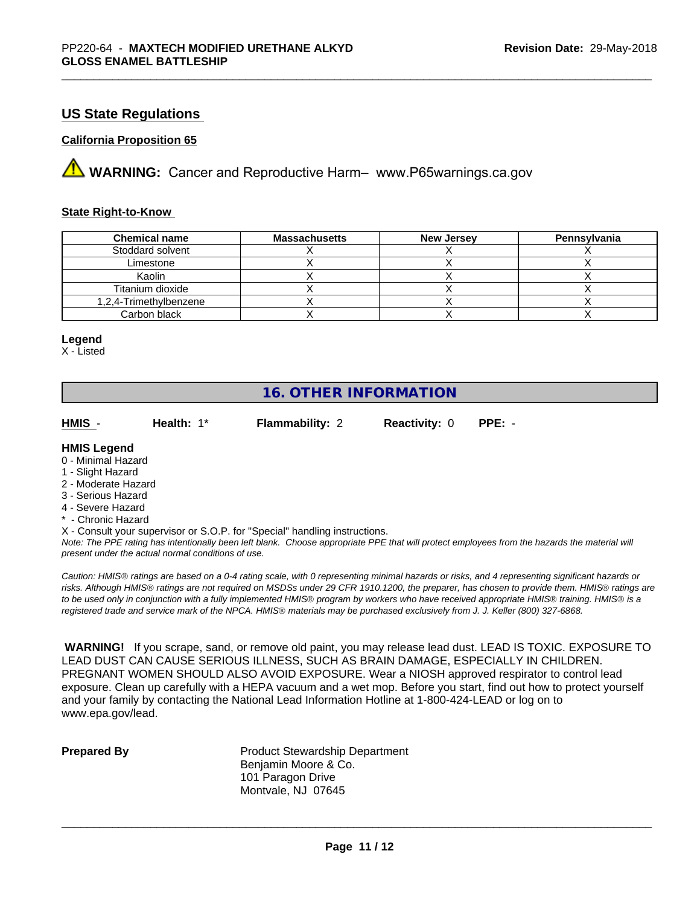# **US State Regulations**

#### **California Proposition 65**

**A** WARNING: Cancer and Reproductive Harm– www.P65warnings.ca.gov

#### **State Right-to-Know**

| <b>Chemical name</b>   | <b>Massachusetts</b> | New Jersey | Pennsylvania |
|------------------------|----------------------|------------|--------------|
| Stoddard solvent       |                      |            |              |
| Limestone              |                      |            |              |
| Kaolin                 |                      |            |              |
| Titanium dioxide       |                      |            |              |
| 1,2,4-Trimethylbenzene |                      |            |              |
| Carbon black           |                      |            |              |

#### **Legend**

X - Listed

# **16. OTHER INFORMATION**

| HMIS                                     | Health: $1^*$ | <b>Flammability: 2</b> | <b>Reactivity: 0</b> | $PPE: -$ |
|------------------------------------------|---------------|------------------------|----------------------|----------|
| <b>HMIS Legend</b><br>0 - Minimal Hazard |               |                        |                      |          |
| $\lambda$ OR also the second             |               |                        |                      |          |

- 1 Slight Hazard
- 2 Moderate Hazard
- 3 Serious Hazard
- 4 Severe Hazard
- \* Chronic Hazard
- X Consult your supervisor or S.O.P. for "Special" handling instructions.

*Note: The PPE rating has intentionally been left blank. Choose appropriate PPE that will protect employees from the hazards the material will present under the actual normal conditions of use.*

*Caution: HMISÒ ratings are based on a 0-4 rating scale, with 0 representing minimal hazards or risks, and 4 representing significant hazards or risks. Although HMISÒ ratings are not required on MSDSs under 29 CFR 1910.1200, the preparer, has chosen to provide them. HMISÒ ratings are to be used only in conjunction with a fully implemented HMISÒ program by workers who have received appropriate HMISÒ training. HMISÒ is a registered trade and service mark of the NPCA. HMISÒ materials may be purchased exclusively from J. J. Keller (800) 327-6868.*

 **WARNING!** If you scrape, sand, or remove old paint, you may release lead dust. LEAD IS TOXIC. EXPOSURE TO LEAD DUST CAN CAUSE SERIOUS ILLNESS, SUCH AS BRAIN DAMAGE, ESPECIALLY IN CHILDREN. PREGNANT WOMEN SHOULD ALSO AVOID EXPOSURE.Wear a NIOSH approved respirator to control lead exposure. Clean up carefully with a HEPA vacuum and a wet mop. Before you start, find out how to protect yourself and your family by contacting the National Lead Information Hotline at 1-800-424-LEAD or log on to www.epa.gov/lead.

**Prepared By** Product Stewardship Department Benjamin Moore & Co. 101 Paragon Drive Montvale, NJ 07645